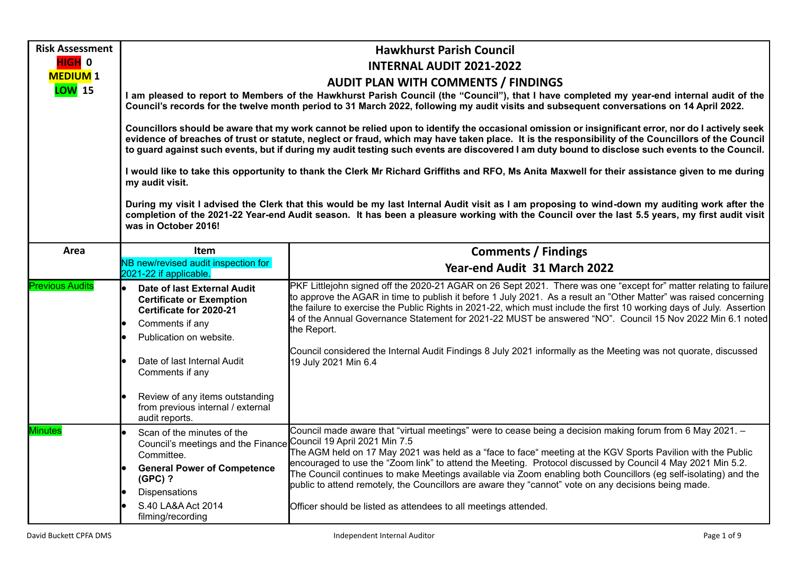| <b>Risk Assessment</b> | <b>Hawkhurst Parish Council</b>                                                                                                                                                                                                                                                                                                                                                                                                                                                                                                                                                                                                  |                                                                                                                                                                                                                                                                                                                                                                                                                                                                                                                                                                                                                                        |  |  |  |
|------------------------|----------------------------------------------------------------------------------------------------------------------------------------------------------------------------------------------------------------------------------------------------------------------------------------------------------------------------------------------------------------------------------------------------------------------------------------------------------------------------------------------------------------------------------------------------------------------------------------------------------------------------------|----------------------------------------------------------------------------------------------------------------------------------------------------------------------------------------------------------------------------------------------------------------------------------------------------------------------------------------------------------------------------------------------------------------------------------------------------------------------------------------------------------------------------------------------------------------------------------------------------------------------------------------|--|--|--|
| HIGH 0                 |                                                                                                                                                                                                                                                                                                                                                                                                                                                                                                                                                                                                                                  | <b>INTERNAL AUDIT 2021-2022</b>                                                                                                                                                                                                                                                                                                                                                                                                                                                                                                                                                                                                        |  |  |  |
| <b>MEDIUM1</b>         | <b>AUDIT PLAN WITH COMMENTS / FINDINGS</b>                                                                                                                                                                                                                                                                                                                                                                                                                                                                                                                                                                                       |                                                                                                                                                                                                                                                                                                                                                                                                                                                                                                                                                                                                                                        |  |  |  |
| LOW 15                 |                                                                                                                                                                                                                                                                                                                                                                                                                                                                                                                                                                                                                                  | I am pleased to report to Members of the Hawkhurst Parish Council (the "Council"), that I have completed my year-end internal audit of the<br>Council's records for the twelve month period to 31 March 2022, following my audit visits and subsequent conversations on 14 April 2022.                                                                                                                                                                                                                                                                                                                                                 |  |  |  |
|                        | Councillors should be aware that my work cannot be relied upon to identify the occasional omission or insignificant error, nor do I actively seek<br>evidence of breaches of trust or statute, neglect or fraud, which may have taken place. It is the responsibility of the Councillors of the Council<br>to guard against such events, but if during my audit testing such events are discovered I am duty bound to disclose such events to the Council.<br>I would like to take this opportunity to thank the Clerk Mr Richard Griffiths and RFO, Ms Anita Maxwell for their assistance given to me during<br>my audit visit. |                                                                                                                                                                                                                                                                                                                                                                                                                                                                                                                                                                                                                                        |  |  |  |
|                        |                                                                                                                                                                                                                                                                                                                                                                                                                                                                                                                                                                                                                                  |                                                                                                                                                                                                                                                                                                                                                                                                                                                                                                                                                                                                                                        |  |  |  |
|                        | During my visit I advised the Clerk that this would be my last Internal Audit visit as I am proposing to wind-down my auditing work after the<br>completion of the 2021-22 Year-end Audit season. It has been a pleasure working with the Council over the last 5.5 years, my first audit visit<br>was in October 2016!                                                                                                                                                                                                                                                                                                          |                                                                                                                                                                                                                                                                                                                                                                                                                                                                                                                                                                                                                                        |  |  |  |
| Area                   | Item                                                                                                                                                                                                                                                                                                                                                                                                                                                                                                                                                                                                                             | <b>Comments / Findings</b>                                                                                                                                                                                                                                                                                                                                                                                                                                                                                                                                                                                                             |  |  |  |
|                        | NB new/revised audit inspection for<br>2021-22 if applicable.                                                                                                                                                                                                                                                                                                                                                                                                                                                                                                                                                                    | Year-end Audit 31 March 2022                                                                                                                                                                                                                                                                                                                                                                                                                                                                                                                                                                                                           |  |  |  |
| <b>Previous Audits</b> | Date of last External Audit<br><b>Certificate or Exemption</b><br>Certificate for 2020-21<br>Comments if any<br>Publication on website.<br>Date of last Internal Audit<br>Comments if any<br>Review of any items outstanding<br>from previous internal / external                                                                                                                                                                                                                                                                                                                                                                | PKF Littlejohn signed off the 2020-21 AGAR on 26 Sept 2021. There was one "except for" matter relating to failure<br>to approve the AGAR in time to publish it before 1 July 2021. As a result an "Other Matter" was raised concerning<br>the failure to exercise the Public Rights in 2021-22, which must include the first 10 working days of July. Assertion<br>4 of the Annual Governance Statement for 2021-22 MUST be answered "NO". Council 15 Nov 2022 Min 6.1 noted<br>the Report.<br>Council considered the Internal Audit Findings 8 July 2021 informally as the Meeting was not quorate, discussed<br>19 July 2021 Min 6.4 |  |  |  |
| <b>Minutes</b>         | audit reports.<br>Scan of the minutes of the                                                                                                                                                                                                                                                                                                                                                                                                                                                                                                                                                                                     | Council made aware that "virtual meetings" were to cease being a decision making forum from 6 May 2021. -                                                                                                                                                                                                                                                                                                                                                                                                                                                                                                                              |  |  |  |
|                        | Council's meetings and the Finance Council 19 April 2021 Min 7.5<br>Committee.                                                                                                                                                                                                                                                                                                                                                                                                                                                                                                                                                   | The AGM held on 17 May 2021 was held as a "face to face" meeting at the KGV Sports Pavilion with the Public<br>encouraged to use the "Zoom link" to attend the Meeting. Protocol discussed by Council 4 May 2021 Min 5.2.                                                                                                                                                                                                                                                                                                                                                                                                              |  |  |  |
|                        | <b>General Power of Competence</b><br>$(GPC)$ ?                                                                                                                                                                                                                                                                                                                                                                                                                                                                                                                                                                                  | The Council continues to make Meetings available via Zoom enabling both Councillors (eg self-isolating) and the<br>public to attend remotely, the Councillors are aware they "cannot" vote on any decisions being made.                                                                                                                                                                                                                                                                                                                                                                                                                |  |  |  |
|                        | Dispensations<br>S.40 LA&A Act 2014<br>filming/recording                                                                                                                                                                                                                                                                                                                                                                                                                                                                                                                                                                         | Officer should be listed as attendees to all meetings attended.                                                                                                                                                                                                                                                                                                                                                                                                                                                                                                                                                                        |  |  |  |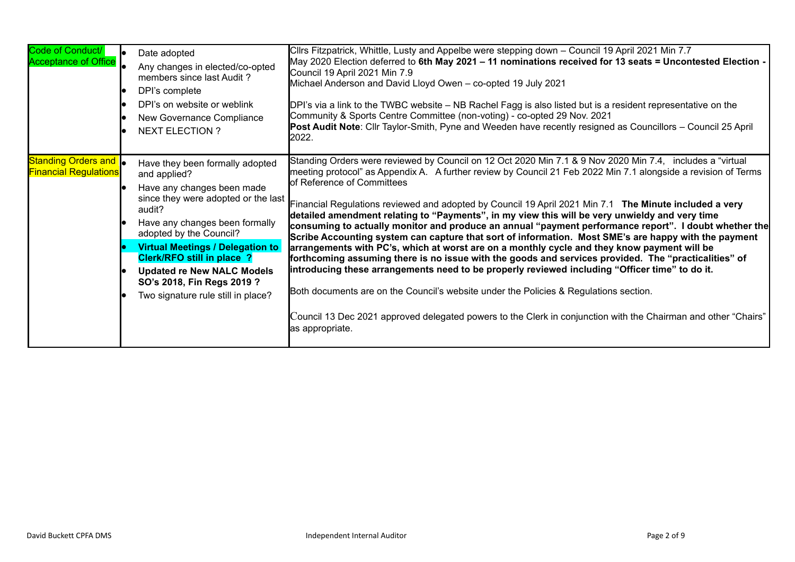| Code of Conduct/<br><b>Acceptance of Office</b>              | Date adopted<br>Any changes in elected/co-opted<br>members since last Audit?<br>DPI's complete<br>DPI's on website or weblink<br>New Governance Compliance<br><b>NEXT ELECTION ?</b>                                                                                                                                                                                                 | Cllrs Fitzpatrick, Whittle, Lusty and Appelbe were stepping down - Council 19 April 2021 Min 7.7<br>May 2020 Election deferred to 6th May 2021 - 11 nominations received for 13 seats = Uncontested Election -<br>Council 19 April 2021 Min 7.9<br>Michael Anderson and David Lloyd Owen - co-opted 19 July 2021<br>DPI's via a link to the TWBC website – NB Rachel Fagg is also listed but is a resident representative on the<br>Community & Sports Centre Committee (non-voting) - co-opted 29 Nov. 2021<br>Post Audit Note: Cllr Taylor-Smith, Pyne and Weeden have recently resigned as Councillors - Council 25 April<br>2022.                                                                                                                                                                                                                                                                                                                                                                                                                                                                                                                                                                                         |
|--------------------------------------------------------------|--------------------------------------------------------------------------------------------------------------------------------------------------------------------------------------------------------------------------------------------------------------------------------------------------------------------------------------------------------------------------------------|-------------------------------------------------------------------------------------------------------------------------------------------------------------------------------------------------------------------------------------------------------------------------------------------------------------------------------------------------------------------------------------------------------------------------------------------------------------------------------------------------------------------------------------------------------------------------------------------------------------------------------------------------------------------------------------------------------------------------------------------------------------------------------------------------------------------------------------------------------------------------------------------------------------------------------------------------------------------------------------------------------------------------------------------------------------------------------------------------------------------------------------------------------------------------------------------------------------------------------|
| Standing Orders and <b>.</b><br><b>Financial Regulations</b> | Have they been formally adopted<br>and applied?<br>Have any changes been made<br>since they were adopted or the last<br>audit?<br>Have any changes been formally<br>adopted by the Council?<br><b>Virtual Meetings / Delegation to</b><br><b>Clerk/RFO still in place ?</b><br><b>Updated re New NALC Models</b><br>SO's 2018, Fin Regs 2019 ?<br>Two signature rule still in place? | Standing Orders were reviewed by Council on 12 Oct 2020 Min 7.1 & 9 Nov 2020 Min 7.4, includes a "virtual<br>meeting protocol" as Appendix A. A further review by Council 21 Feb 2022 Min 7.1 alongside a revision of Terms<br>of Reference of Committees<br>Financial Regulations reviewed and adopted by Council 19 April 2021 Min 7.1 The Minute included a very<br>detailed amendment relating to "Payments", in my view this will be very unwieldy and very time<br>consuming to actually monitor and produce an annual "payment performance report". I doubt whether the<br>Scribe Accounting system can capture that sort of information. Most SME's are happy with the payment<br>arrangements with PC's, which at worst are on a monthly cycle and they know payment will be<br>forthcoming assuming there is no issue with the goods and services provided. The "practicalities" of<br>introducing these arrangements need to be properly reviewed including "Officer time" to do it.<br>Both documents are on the Council's website under the Policies & Regulations section.<br>Council 13 Dec 2021 approved delegated powers to the Clerk in conjunction with the Chairman and other "Chairs"<br>as appropriate. |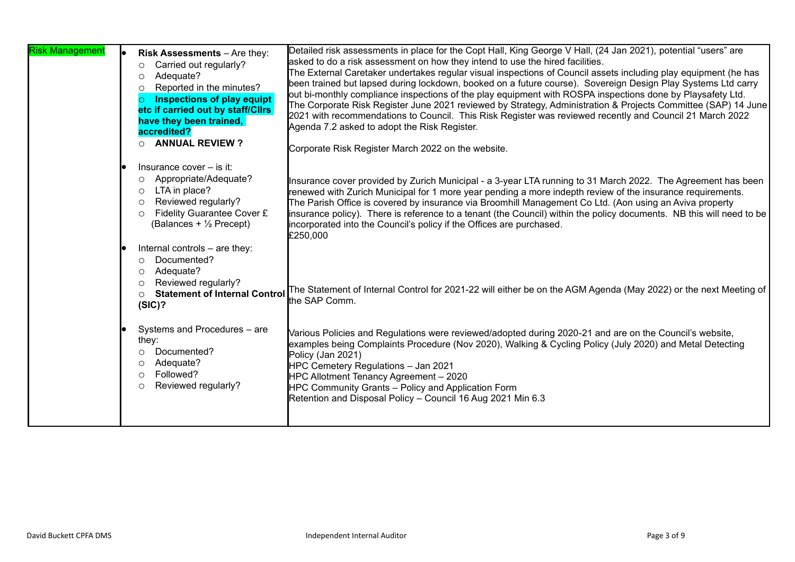| <b>Risk Management</b> | Risk Assessments - Are they:<br>Carried out regularly?<br>$\circ$<br>Adequate?<br>$\circ$<br>Reported in the minutes?<br>$\circ$<br><b>Inspections of play equipt</b><br>$\circ$<br>etc if carried out by staff/Cllrs<br>have they been trained,<br>accredited?<br><b>ANNUAL REVIEW?</b><br>$\circ$ | Detailed risk assessments in place for the Copt Hall, King George V Hall, (24 Jan 2021), potential "users" are<br>asked to do a risk assessment on how they intend to use the hired facilities.<br>The External Caretaker undertakes regular visual inspections of Council assets including play equipment (he has<br>been trained but lapsed during lockdown, booked on a future course). Sovereign Design Play Systems Ltd carry<br>out bi-monthly compliance inspections of the play equipment with ROSPA inspections done by Playsafety Ltd.<br>The Corporate Risk Register June 2021 reviewed by Strategy, Administration & Projects Committee (SAP) 14 June<br>2021 with recommendations to Council. This Risk Register was reviewed recently and Council 21 March 2022<br>Agenda 7.2 asked to adopt the Risk Register.<br>Corporate Risk Register March 2022 on the website. |
|------------------------|-----------------------------------------------------------------------------------------------------------------------------------------------------------------------------------------------------------------------------------------------------------------------------------------------------|-------------------------------------------------------------------------------------------------------------------------------------------------------------------------------------------------------------------------------------------------------------------------------------------------------------------------------------------------------------------------------------------------------------------------------------------------------------------------------------------------------------------------------------------------------------------------------------------------------------------------------------------------------------------------------------------------------------------------------------------------------------------------------------------------------------------------------------------------------------------------------------|
|                        | Insurance cover $-$ is it:<br>Appropriate/Adequate?<br>$\circ$<br>LTA in place?<br>$\circ$<br>Reviewed regularly?<br>$\circ$<br>Fidelity Guarantee Cover £<br>$\circ$<br>(Balances + $\frac{1}{2}$ Precept)                                                                                         | Insurance cover provided by Zurich Municipal - a 3-year LTA running to 31 March 2022. The Agreement has been<br>renewed with Zurich Municipal for 1 more year pending a more indepth review of the insurance requirements.<br>The Parish Office is covered by insurance via Broomhill Management Co Ltd. (Aon using an Aviva property<br>insurance policy). There is reference to a tenant (the Council) within the policy documents. NB this will need to be<br>incorporated into the Council's policy if the Offices are purchased.<br>£250,000                                                                                                                                                                                                                                                                                                                                   |
|                        | Internal controls - are they:<br>Documented?<br>$\circ$<br>Adequate?<br>$\circ$<br>Reviewed regularly?<br>$\circ$<br><b>Statement of Internal Control</b><br>$\circ$<br>(SIC)?                                                                                                                      | The Statement of Internal Control for 2021-22 will either be on the AGM Agenda (May 2022) or the next Meeting of<br>the SAP Comm.                                                                                                                                                                                                                                                                                                                                                                                                                                                                                                                                                                                                                                                                                                                                                   |
|                        | Systems and Procedures - are<br>they:<br>Documented?<br>$\circ$<br>Adequate?<br>$\circ$<br>Followed?<br>$\circ$<br>Reviewed regularly?<br>$\circ$                                                                                                                                                   | Various Policies and Regulations were reviewed/adopted during 2020-21 and are on the Council's website,<br>examples being Complaints Procedure (Nov 2020), Walking & Cycling Policy (July 2020) and Metal Detecting<br>Policy (Jan 2021)<br>HPC Cemetery Regulations - Jan 2021<br>HPC Allotment Tenancy Agreement - 2020<br>HPC Community Grants - Policy and Application Form<br>Retention and Disposal Policy - Council 16 Aug 2021 Min 6.3                                                                                                                                                                                                                                                                                                                                                                                                                                      |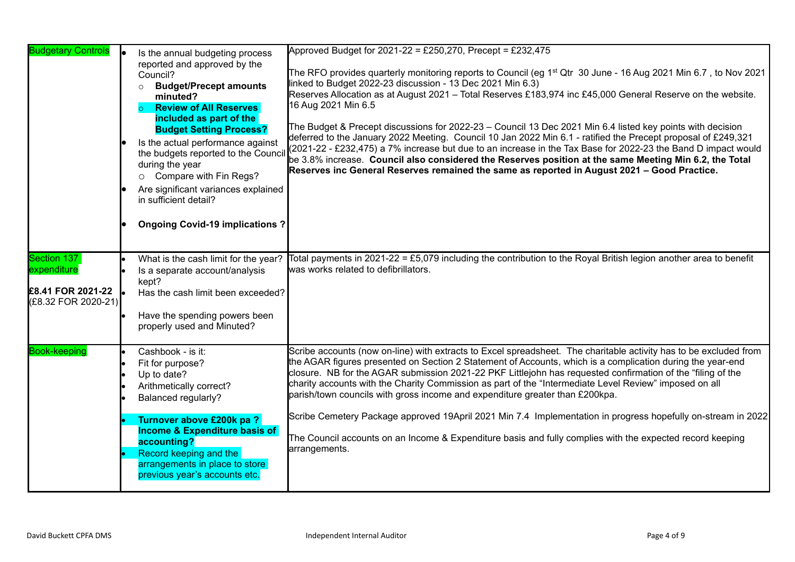| <b>Budgetary Controls</b>                                              | Is the annual budgeting process<br>reported and approved by the<br>Council?<br><b>Budget/Precept amounts</b><br>$\circ$<br>minuted?<br><b>Review of All Reserves</b><br>included as part of the<br><b>Budget Setting Process?</b><br>Is the actual performance against<br>the budgets reported to the Council<br>during the year<br>O Compare with Fin Regs?<br>Are significant variances explained<br>in sufficient detail?<br><b>Ongoing Covid-19 implications?</b> | Approved Budget for 2021-22 = £250,270, Precept = £232,475<br>The RFO provides quarterly monitoring reports to Council (eg 1 <sup>st</sup> Qtr 30 June - 16 Aug 2021 Min 6.7, to Nov 2021<br>linked to Budget 2022-23 discussion - 13 Dec 2021 Min 6.3)<br>Reserves Allocation as at August 2021 - Total Reserves £183,974 inc £45,000 General Reserve on the website.<br>16 Aug 2021 Min 6.5<br>The Budget & Precept discussions for 2022-23 - Council 13 Dec 2021 Min 6.4 listed key points with decision<br>deferred to the January 2022 Meeting. Council 10 Jan 2022 Min 6.1 - ratified the Precept proposal of £249,321<br>(2021-22 - £232,475) a 7% increase but due to an increase in the Tax Base for 2022-23 the Band D impact would<br>be 3.8% increase. Council also considered the Reserves position at the same Meeting Min 6.2, the Total<br>Reserves inc General Reserves remained the same as reported in August 2021 - Good Practice. |
|------------------------------------------------------------------------|-----------------------------------------------------------------------------------------------------------------------------------------------------------------------------------------------------------------------------------------------------------------------------------------------------------------------------------------------------------------------------------------------------------------------------------------------------------------------|--------------------------------------------------------------------------------------------------------------------------------------------------------------------------------------------------------------------------------------------------------------------------------------------------------------------------------------------------------------------------------------------------------------------------------------------------------------------------------------------------------------------------------------------------------------------------------------------------------------------------------------------------------------------------------------------------------------------------------------------------------------------------------------------------------------------------------------------------------------------------------------------------------------------------------------------------------|
| Section 137<br>expenditure<br>£8.41 FOR 2021-22<br>(£8.32 FOR 2020-21) | What is the cash limit for the year?<br>Is a separate account/analysis<br>kept?<br>Has the cash limit been exceeded?<br>Have the spending powers been<br>properly used and Minuted?                                                                                                                                                                                                                                                                                   | Total payments in 2021-22 = £5,079 including the contribution to the Royal British legion another area to benefit<br>was works related to defibrillators.                                                                                                                                                                                                                                                                                                                                                                                                                                                                                                                                                                                                                                                                                                                                                                                              |
| <b>Book-keeping</b>                                                    | Cashbook - is it:<br>Fit for purpose?<br>Up to date?<br>Arithmetically correct?<br><b>Balanced regularly?</b><br>Turnover above £200k pa?<br><b>Income &amp; Expenditure basis of</b><br>accounting?<br>Record keeping and the<br>arrangements in place to store<br>previous year's accounts etc.                                                                                                                                                                     | Scribe accounts (now on-line) with extracts to Excel spreadsheet. The charitable activity has to be excluded from<br>the AGAR figures presented on Section 2 Statement of Accounts, which is a complication during the year-end<br>closure. NB for the AGAR submission 2021-22 PKF Littlejohn has requested confirmation of the "filing of the<br>charity accounts with the Charity Commission as part of the "Intermediate Level Review" imposed on all<br>parish/town councils with gross income and expenditure greater than £200kpa.<br>Scribe Cemetery Package approved 19April 2021 Min 7.4 Implementation in progress hopefully on-stream in 2022<br>The Council accounts on an Income & Expenditure basis and fully complies with the expected record keeping<br>arrangements.                                                                                                                                                                 |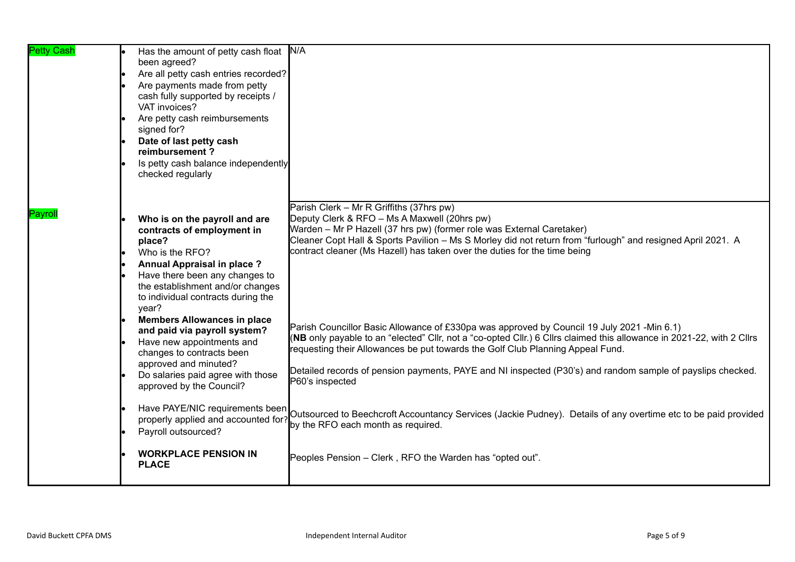| <b>Petty Cash</b> | Has the amount of petty cash float N/A<br>been agreed?<br>Are all petty cash entries recorded?<br>lo<br>Are payments made from petty<br>cash fully supported by receipts /<br>VAT invoices?<br>Are petty cash reimbursements<br>signed for?<br>Date of last petty cash<br>reimbursement?<br>Is petty cash balance independently<br>checked regularly |                                                                                                                                                                                                                                                                                                                                                                                                                                        |
|-------------------|------------------------------------------------------------------------------------------------------------------------------------------------------------------------------------------------------------------------------------------------------------------------------------------------------------------------------------------------------|----------------------------------------------------------------------------------------------------------------------------------------------------------------------------------------------------------------------------------------------------------------------------------------------------------------------------------------------------------------------------------------------------------------------------------------|
| Pavrol            | Who is on the payroll and are<br>contracts of employment in<br>place?<br>Who is the RFO?<br><b>Annual Appraisal in place?</b><br>Have there been any changes to<br>the establishment and/or changes<br>to individual contracts during the<br>year?                                                                                                   | Parish Clerk - Mr R Griffiths (37hrs pw)<br>Deputy Clerk & RFO - Ms A Maxwell (20hrs pw)<br>Warden - Mr P Hazell (37 hrs pw) (former role was External Caretaker)<br>Cleaner Copt Hall & Sports Pavilion - Ms S Morley did not return from "furlough" and resigned April 2021. A<br>contract cleaner (Ms Hazell) has taken over the duties for the time being                                                                          |
|                   | <b>Members Allowances in place</b><br>and paid via payroll system?<br>Have new appointments and<br>changes to contracts been<br>approved and minuted?<br>Do salaries paid agree with those<br>approved by the Council?                                                                                                                               | Parish Councillor Basic Allowance of £330pa was approved by Council 19 July 2021 -Min 6.1)<br>(NB only payable to an "elected" Cllr, not a "co-opted Cllr.) 6 Cllrs claimed this allowance in 2021-22, with 2 Cllrs<br>requesting their Allowances be put towards the Golf Club Planning Appeal Fund.<br>Detailed records of pension payments, PAYE and NI inspected (P30's) and random sample of payslips checked.<br>P60's inspected |
|                   | Have PAYE/NIC requirements been<br>properly applied and accounted for?<br>Payroll outsourced?<br><b>WORKPLACE PENSION IN</b><br><b>PLACE</b>                                                                                                                                                                                                         | Outsourced to Beechcroft Accountancy Services (Jackie Pudney). Details of any overtime etc to be paid provided<br>by the RFO each month as required.<br>Peoples Pension - Clerk, RFO the Warden has "opted out".                                                                                                                                                                                                                       |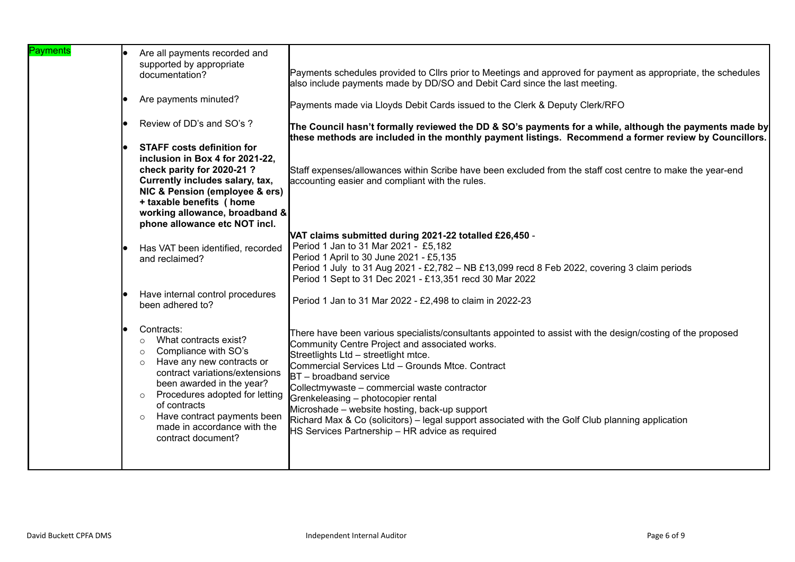| Payments | Are all payments recorded and<br>supported by appropriate<br>documentation?                                                                                                                                                                                                                                                                          | Payments schedules provided to Cllrs prior to Meetings and approved for payment as appropriate, the schedules<br>also include payments made by DD/SO and Debit Card since the last meeting.                                                                                                                                                                                                                                                                                                                                                                                         |
|----------|------------------------------------------------------------------------------------------------------------------------------------------------------------------------------------------------------------------------------------------------------------------------------------------------------------------------------------------------------|-------------------------------------------------------------------------------------------------------------------------------------------------------------------------------------------------------------------------------------------------------------------------------------------------------------------------------------------------------------------------------------------------------------------------------------------------------------------------------------------------------------------------------------------------------------------------------------|
|          | Are payments minuted?                                                                                                                                                                                                                                                                                                                                | Payments made via Lloyds Debit Cards issued to the Clerk & Deputy Clerk/RFO                                                                                                                                                                                                                                                                                                                                                                                                                                                                                                         |
|          | Review of DD's and SO's ?                                                                                                                                                                                                                                                                                                                            | The Council hasn't formally reviewed the DD & SO's payments for a while, although the payments made by<br>these methods are included in the monthly payment listings. Recommend a former review by Councillors.                                                                                                                                                                                                                                                                                                                                                                     |
|          | <b>STAFF costs definition for</b><br>inclusion in Box 4 for 2021-22,<br>check parity for 2020-21?<br>Currently includes salary, tax,<br>NIC & Pension (employee & ers)<br>+ taxable benefits ( home<br>working allowance, broadband &<br>phone allowance etc NOT incl.                                                                               | Staff expenses/allowances within Scribe have been excluded from the staff cost centre to make the year-end<br>accounting easier and compliant with the rules.                                                                                                                                                                                                                                                                                                                                                                                                                       |
|          | Has VAT been identified, recorded<br>and reclaimed?                                                                                                                                                                                                                                                                                                  | VAT claims submitted during 2021-22 totalled £26,450 -<br>Period 1 Jan to 31 Mar 2021 - £5,182<br>Period 1 April to 30 June 2021 - £5,135<br>Period 1 July to 31 Aug 2021 - £2,782 - NB £13,099 recd 8 Feb 2022, covering 3 claim periods<br>Period 1 Sept to 31 Dec 2021 - £13,351 recd 30 Mar 2022                                                                                                                                                                                                                                                                                |
|          | Have internal control procedures<br>been adhered to?                                                                                                                                                                                                                                                                                                 | Period 1 Jan to 31 Mar 2022 - £2,498 to claim in 2022-23                                                                                                                                                                                                                                                                                                                                                                                                                                                                                                                            |
|          | Contracts:<br>What contracts exist?<br>$\circ$<br>Compliance with SO's<br>$\circ$<br>Have any new contracts or<br>$\circ$<br>contract variations/extensions<br>been awarded in the year?<br>Procedures adopted for letting<br>$\circ$<br>of contracts<br>Have contract payments been<br>$\circ$<br>made in accordance with the<br>contract document? | There have been various specialists/consultants appointed to assist with the design/costing of the proposed<br>Community Centre Project and associated works.<br>Streetlights Ltd - streetlight mtce.<br>Commercial Services Ltd - Grounds Mtce. Contract<br>$BT - broadband$ service<br>Collectmywaste - commercial waste contractor<br>Grenkeleasing - photocopier rental<br>Microshade - website hosting, back-up support<br>Richard Max & Co (solicitors) - legal support associated with the Golf Club planning application<br>HS Services Partnership - HR advice as required |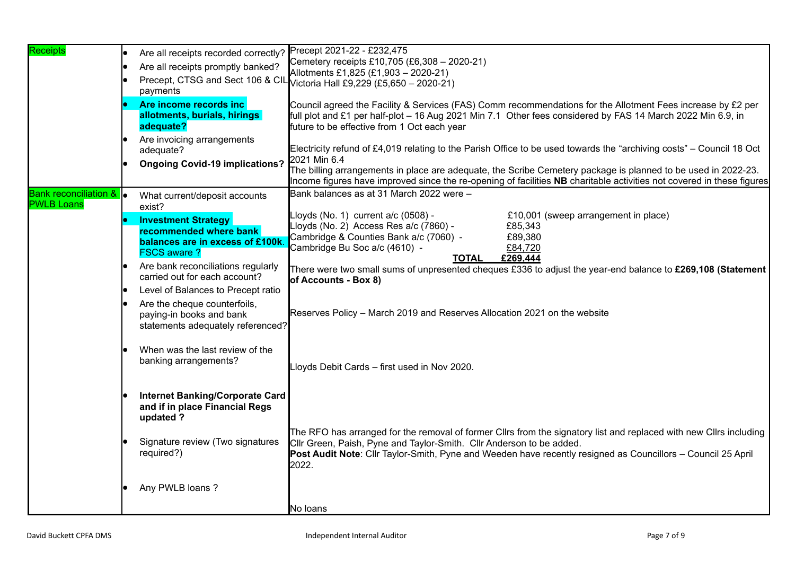| <b>Receipts</b>                    | Are all receipts recorded correctly?                     | Precept 2021-22 - £232,475                                                                                            |
|------------------------------------|----------------------------------------------------------|-----------------------------------------------------------------------------------------------------------------------|
|                                    | Are all receipts promptly banked?                        | Cemetery receipts £10,705 (£6,308 - 2020-21)                                                                          |
|                                    |                                                          | Allotments £1,825 (£1,903 - 2020-21)                                                                                  |
|                                    | payments                                                 | Precept, CTSG and Sect 106 & CIL Victoria Hall £9,229 (£5,650 - 2020-21)                                              |
|                                    |                                                          |                                                                                                                       |
|                                    | Are income records inc                                   | Council agreed the Facility & Services (FAS) Comm recommendations for the Allotment Fees increase by £2 per           |
|                                    | allotments, burials, hirings                             | full plot and £1 per half-plot - 16 Aug 2021 Min 7.1 Other fees considered by FAS 14 March 2022 Min 6.9, in           |
|                                    | adequate?                                                | future to be effective from 1 Oct each year                                                                           |
|                                    | Are invoicing arrangements                               | Electricity refund of £4,019 relating to the Parish Office to be used towards the "archiving costs" – Council 18 Oct  |
|                                    | adequate?                                                | 2021 Min 6.4                                                                                                          |
|                                    | <b>Ongoing Covid-19 implications?</b>                    | The billing arrangements in place are adequate, the Scribe Cemetery package is planned to be used in 2022-23.         |
|                                    |                                                          | Income figures have improved since the re-opening of facilities NB charitable activities not covered in these figures |
| <b>Bank reconciliation &amp;  </b> |                                                          | Bank balances as at 31 March 2022 were -                                                                              |
| <b>PWLB Loans</b>                  | What current/deposit accounts<br>exist?                  |                                                                                                                       |
|                                    |                                                          | £10,001 (sweep arrangement in place)<br>Lloyds (No. 1) current $a/c$ (0508) -                                         |
|                                    | <b>Investment Strategy</b><br>recommended where bank     | Lloyds (No. 2) Access Res a/c (7860) -<br>£85,343                                                                     |
|                                    | balances are in excess of £100k                          | Cambridge & Counties Bank a/c (7060) -<br>£89,380                                                                     |
|                                    | <b>FSCS aware?</b>                                       | Cambridge Bu Soc a/c (4610) -<br>£84,720                                                                              |
|                                    | Are bank reconciliations regularly                       | £269.444<br><b>TOTAL</b>                                                                                              |
|                                    | carried out for each account?                            | There were two small sums of unpresented cheques £336 to adjust the year-end balance to £269,108 (Statement           |
|                                    | Level of Balances to Precept ratio                       | of Accounts - Box 8)                                                                                                  |
|                                    |                                                          |                                                                                                                       |
|                                    | Are the cheque counterfoils,<br>paying-in books and bank | Reserves Policy – March 2019 and Reserves Allocation 2021 on the website                                              |
|                                    | statements adequately referenced?                        |                                                                                                                       |
|                                    |                                                          |                                                                                                                       |
|                                    | When was the last review of the                          |                                                                                                                       |
|                                    | banking arrangements?                                    |                                                                                                                       |
|                                    |                                                          | Lloyds Debit Cards - first used in Nov 2020.                                                                          |
|                                    |                                                          |                                                                                                                       |
|                                    | <b>Internet Banking/Corporate Card</b>                   |                                                                                                                       |
|                                    | and if in place Financial Regs                           |                                                                                                                       |
|                                    | updated ?                                                |                                                                                                                       |
|                                    |                                                          | The RFO has arranged for the removal of former Cllrs from the signatory list and replaced with new Cllrs including    |
|                                    | Signature review (Two signatures                         | Cllr Green, Paish, Pyne and Taylor-Smith. Cllr Anderson to be added.                                                  |
|                                    | required?)                                               | Post Audit Note: Cllr Taylor-Smith, Pyne and Weeden have recently resigned as Councillors - Council 25 April          |
|                                    |                                                          | 2022.                                                                                                                 |
|                                    |                                                          |                                                                                                                       |
|                                    | Any PWLB loans?                                          |                                                                                                                       |
|                                    |                                                          |                                                                                                                       |
|                                    |                                                          | No Ioans                                                                                                              |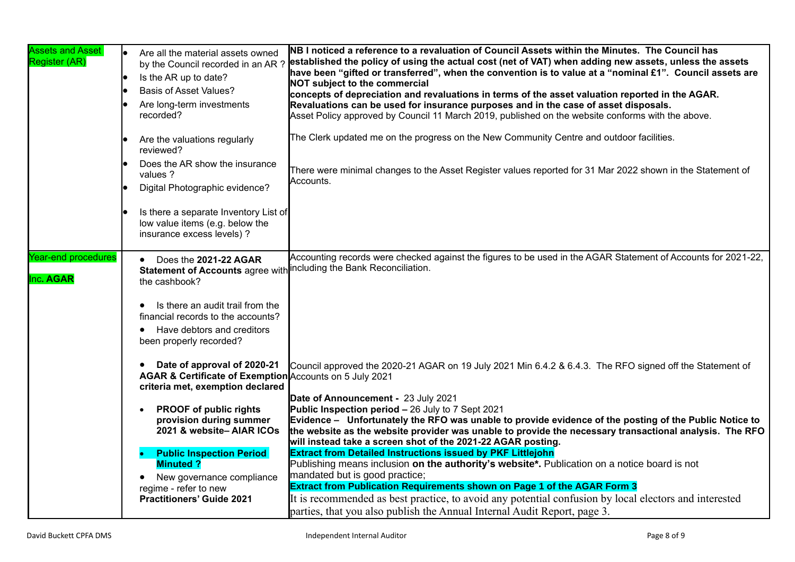| <b>Assets and Asset</b><br>Register (AR) | $\bullet$ | Are all the material assets owned<br>by the Council recorded in an AR?<br>Is the AR up to date?<br><b>Basis of Asset Values?</b><br>Are long-term investments<br>recorded?<br>Are the valuations regularly                                       | NB I noticed a reference to a revaluation of Council Assets within the Minutes. The Council has<br>established the policy of using the actual cost (net of VAT) when adding new assets, unless the assets<br>have been "gifted or transferred", when the convention is to value at a "nominal £1". Council assets are<br><b>NOT subject to the commercial</b><br>concepts of depreciation and revaluations in terms of the asset valuation reported in the AGAR.<br>Revaluations can be used for insurance purposes and in the case of asset disposals.<br>Asset Policy approved by Council 11 March 2019, published on the website conforms with the above.<br>The Clerk updated me on the progress on the New Community Centre and outdoor facilities. |
|------------------------------------------|-----------|--------------------------------------------------------------------------------------------------------------------------------------------------------------------------------------------------------------------------------------------------|----------------------------------------------------------------------------------------------------------------------------------------------------------------------------------------------------------------------------------------------------------------------------------------------------------------------------------------------------------------------------------------------------------------------------------------------------------------------------------------------------------------------------------------------------------------------------------------------------------------------------------------------------------------------------------------------------------------------------------------------------------|
|                                          |           | reviewed?<br>Does the AR show the insurance<br>values ?                                                                                                                                                                                          | There were minimal changes to the Asset Register values reported for 31 Mar 2022 shown in the Statement of                                                                                                                                                                                                                                                                                                                                                                                                                                                                                                                                                                                                                                               |
|                                          |           | Digital Photographic evidence?<br>Is there a separate Inventory List of                                                                                                                                                                          | Accounts.                                                                                                                                                                                                                                                                                                                                                                                                                                                                                                                                                                                                                                                                                                                                                |
|                                          |           | low value items (e.g. below the<br>insurance excess levels) ?                                                                                                                                                                                    |                                                                                                                                                                                                                                                                                                                                                                                                                                                                                                                                                                                                                                                                                                                                                          |
| <b>Year-end procedures</b><br>Inc. AGAR  |           | Does the 2021-22 AGAR<br>Statement of Accounts agree with including the Bank Reconciliation.<br>the cashbook?<br>Is there an audit trail from the<br>financial records to the accounts?<br>Have debtors and creditors<br>been properly recorded? | Accounting records were checked against the figures to be used in the AGAR Statement of Accounts for 2021-22,                                                                                                                                                                                                                                                                                                                                                                                                                                                                                                                                                                                                                                            |
|                                          |           | Date of approval of 2020-21<br>$\bullet$<br>AGAR & Certificate of Exemption Accounts on 5 July 2021<br>criteria met, exemption declared                                                                                                          | Council approved the 2020-21 AGAR on 19 July 2021 Min 6.4.2 & 6.4.3. The RFO signed off the Statement of<br>Date of Announcement - 23 July 2021                                                                                                                                                                                                                                                                                                                                                                                                                                                                                                                                                                                                          |
|                                          |           | <b>PROOF of public rights</b><br>provision during summer<br>2021 & website-AIAR ICOs                                                                                                                                                             | <b>Public Inspection period - 26 July to 7 Sept 2021</b><br>Evidence - Unfortunately the RFO was unable to provide evidence of the posting of the Public Notice to<br>the website as the website provider was unable to provide the necessary transactional analysis. The RFO<br>will instead take a screen shot of the 2021-22 AGAR posting.                                                                                                                                                                                                                                                                                                                                                                                                            |
|                                          |           | <b>Public Inspection Period</b><br><b>Minuted?</b><br>New governance compliance<br>regime - refer to new<br><b>Practitioners' Guide 2021</b>                                                                                                     | <b>Extract from Detailed Instructions issued by PKF Littlejohn</b><br>Publishing means inclusion on the authority's website*. Publication on a notice board is not<br>mandated but is good practice;<br>Extract from Publication Requirements shown on Page 1 of the AGAR Form 3<br>It is recommended as best practice, to avoid any potential confusion by local electors and interested<br>parties, that you also publish the Annual Internal Audit Report, page 3.                                                                                                                                                                                                                                                                                    |